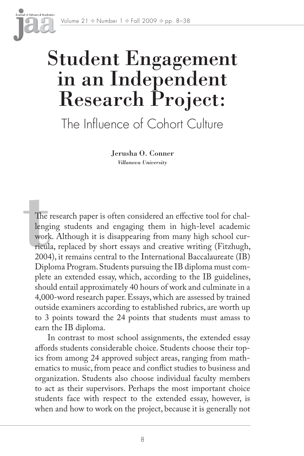

# Student Engagement in an Independent Research Project:

The Influence of Cohort Culture

Jerusha O. Conner *Villanova University*

The 1<br>
lengi<br>
work<br>
ricula<br>
2004<br>
N: 1 The research paper is often considered an effective tool for challenging students and engaging them in high-level academic work. Although it is disappearing from many high school curricula, replaced by short essays and creative writing (Fitzhugh, 2004), it remains central to the International Baccalaureate (IB) Diploma Program. Students pursuing the IB diploma must complete an extended essay, which, according to the IB guidelines, should entail approximately 40 hours of work and culminate in a 4,000-word research paper. Essays, which are assessed by trained outside examiners according to established rubrics, are worth up to 3 points toward the 24 points that students must amass to earn the IB diploma.

In contrast to most school assignments, the extended essay affords students considerable choice. Students choose their topics from among 24 approved subject areas, ranging from mathematics to music, from peace and conflict studies to business and organization. Students also choose individual faculty members to act as their supervisors. Perhaps the most important choice students face with respect to the extended essay, however, is when and how to work on the project, because it is generally not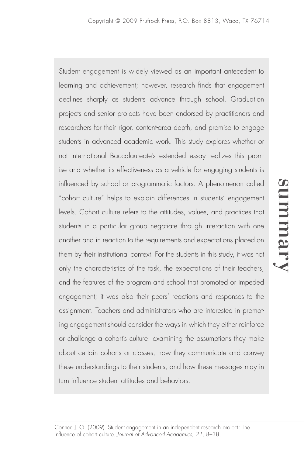Student engagement is widely viewed as an important antecedent to learning and achievement; however, research finds that engagement declines sharply as students advance through school. Graduation projects and senior projects have been endorsed by practitioners and researchers for their rigor, content-area depth, and promise to engage students in advanced academic work. This study explores whether or not International Baccalaureate's extended essay realizes this promise and whether its effectiveness as a vehicle for engaging students is influenced by school or programmatic factors. A phenomenon called "cohort culture" helps to explain differences in students' engagement levels. Cohort culture refers to the attitudes, values, and practices that students in a particular group negotiate through interaction with one another and in reaction to the requirements and expectations placed on them by their institutional context. For the students in this study, it was not only the characteristics of the task, the expectations of their teachers, and the features of the program and school that promoted or impeded engagement; it was also their peers' reactions and responses to the assignment. Teachers and administrators who are interested in promoting engagement should consider the ways in which they either reinforce or challenge a cohort's culture: examining the assumptions they make about certain cohorts or classes, how they communicate and convey these understandings to their students, and how these messages may in turn influence student attitudes and behaviors.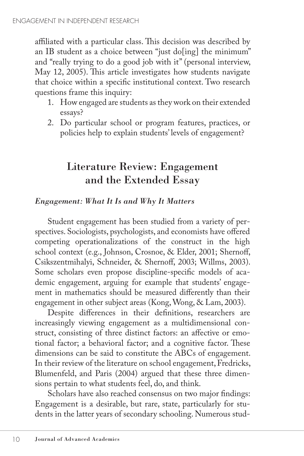affiliated with a particular class. This decision was described by an IB student as a choice between "just do[ing] the minimum" and "really trying to do a good job with it" (personal interview, May 12, 2005). This article investigates how students navigate that choice within a specific institutional context. Two research questions frame this inquiry:

- 1. How engaged are students as they work on their extended essays?
- 2. Do particular school or program features, practices, or policies help to explain students' levels of engagement?

# Literature Review: Engagement and the Extended Essay

#### *Engagement: What It Is and Why It Matters*

Student engagement has been studied from a variety of perspectives. Sociologists, psychologists, and economists have offered competing operationalizations of the construct in the high school context (e.g., Johnson, Crosnoe, & Elder, 2001; Shernoff, Csikszentmihalyi, Schneider, & Shernoff, 2003; Willms, 2003). Some scholars even propose discipline-specific models of academic engagement, arguing for example that students' engagement in mathematics should be measured differently than their engagement in other subject areas (Kong, Wong, & Lam, 2003).

Despite differences in their definitions, researchers are increasingly viewing engagement as a multidimensional construct, consisting of three distinct factors: an affective or emotional factor; a behavioral factor; and a cognitive factor. These dimensions can be said to constitute the ABCs of engagement. In their review of the literature on school engagement, Fredricks, Blumenfeld, and Paris (2004) argued that these three dimensions pertain to what students feel, do, and think.

Scholars have also reached consensus on two major findings: Engagement is a desirable, but rare, state, particularly for students in the latter years of secondary schooling. Numerous stud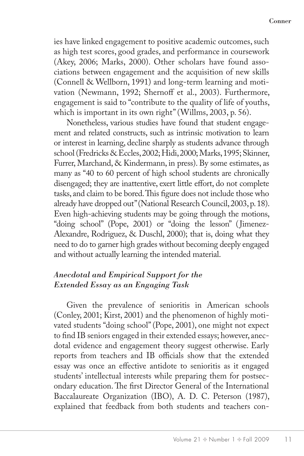ies have linked engagement to positive academic outcomes, such as high test scores, good grades, and performance in coursework (Akey, 2006; Marks, 2000). Other scholars have found associations between engagement and the acquisition of new skills (Connell & Wellborn, 1991) and long-term learning and motivation (Newmann, 1992; Shernoff et al., 2003). Furthermore, engagement is said to "contribute to the quality of life of youths, which is important in its own right" (Willms, 2003, p. 56).

Nonetheless, various studies have found that student engagement and related constructs, such as intrinsic motivation to learn or interest in learning, decline sharply as students advance through school (Fredricks & Eccles, 2002; Hidi, 2000; Marks, 1995; Skinner, Furrer, Marchand, & Kindermann, in press). By some estimates, as many as "40 to 60 percent of high school students are chronically disengaged; they are inattentive, exert little effort, do not complete tasks, and claim to be bored. This figure does not include those who already have dropped out" (National Research Council, 2003, p. 18). Even high-achieving students may be going through the motions, "doing school" (Pope, 2001) or "doing the lesson" (Jimenez-Alexandre, Rodriguez, & Duschl, 2000); that is, doing what they need to do to garner high grades without becoming deeply engaged and without actually learning the intended material.

### *Anecdotal and Empirical Support for the Extended Essay as an Engaging Task*

Given the prevalence of senioritis in American schools (Conley, 2001; Kirst, 2001) and the phenomenon of highly motivated students "doing school" (Pope, 2001), one might not expect to find IB seniors engaged in their extended essays; however, anecdotal evidence and engagement theory suggest otherwise. Early reports from teachers and IB officials show that the extended essay was once an effective antidote to senioritis as it engaged students' intellectual interests while preparing them for postsecondary education. The first Director General of the International Baccalaureate Organization (IBO), A. D. C. Peterson (1987), explained that feedback from both students and teachers con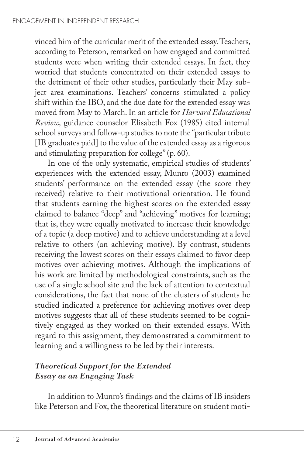vinced him of the curricular merit of the extended essay. Teachers, according to Peterson, remarked on how engaged and committed students were when writing their extended essays. In fact, they worried that students concentrated on their extended essays to the detriment of their other studies, particularly their May subject area examinations. Teachers' concerns stimulated a policy shift within the IBO, and the due date for the extended essay was moved from May to March. In an article for *Harvard Educational Review,* guidance counselor Elisabeth Fox (1985) cited internal school surveys and follow-up studies to note the "particular tribute [IB graduates paid] to the value of the extended essay as a rigorous and stimulating preparation for college" (p. 60).

In one of the only systematic, empirical studies of students' experiences with the extended essay, Munro (2003) examined students' performance on the extended essay (the score they received) relative to their motivational orientation. He found that students earning the highest scores on the extended essay claimed to balance "deep" and "achieving" motives for learning; that is, they were equally motivated to increase their knowledge of a topic (a deep motive) and to achieve understanding at a level relative to others (an achieving motive). By contrast, students receiving the lowest scores on their essays claimed to favor deep motives over achieving motives. Although the implications of his work are limited by methodological constraints, such as the use of a single school site and the lack of attention to contextual considerations, the fact that none of the clusters of students he studied indicated a preference for achieving motives over deep motives suggests that all of these students seemed to be cognitively engaged as they worked on their extended essays. With regard to this assignment, they demonstrated a commitment to learning and a willingness to be led by their interests.

## *Theoretical Support for the Extended Essay as an Engaging Task*

In addition to Munro's findings and the claims of IB insiders like Peterson and Fox, the theoretical literature on student moti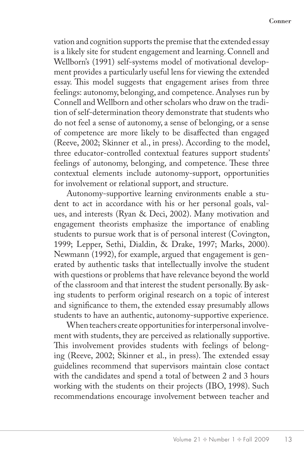vation and cognition supports the premise that the extended essay is a likely site for student engagement and learning. Connell and Wellborn's (1991) self-systems model of motivational development provides a particularly useful lens for viewing the extended essay. This model suggests that engagement arises from three feelings: autonomy, belonging, and competence. Analyses run by Connell and Wellborn and other scholars who draw on the tradition of self-determination theory demonstrate that students who do not feel a sense of autonomy, a sense of belonging, or a sense of competence are more likely to be disaffected than engaged (Reeve, 2002; Skinner et al., in press). According to the model, three educator-controlled contextual features support students' feelings of autonomy, belonging, and competence. These three contextual elements include autonomy-support, opportunities for involvement or relational support, and structure.

 Autonomy-supportive learning environments enable a student to act in accordance with his or her personal goals, values, and interests (Ryan & Deci, 2002). Many motivation and engagement theorists emphasize the importance of enabling students to pursue work that is of personal interest (Covington, 1999; Lepper, Sethi, Dialdin, & Drake, 1997; Marks, 2000). Newmann (1992), for example, argued that engagement is generated by authentic tasks that intellectually involve the student with questions or problems that have relevance beyond the world of the classroom and that interest the student personally. By asking students to perform original research on a topic of interest and significance to them, the extended essay presumably allows students to have an authentic, autonomy-supportive experience.

When teachers create opportunities for interpersonal involvement with students, they are perceived as relationally supportive. This involvement provides students with feelings of belonging (Reeve, 2002; Skinner et al., in press). The extended essay guidelines recommend that supervisors maintain close contact with the candidates and spend a total of between 2 and 3 hours working with the students on their projects (IBO, 1998). Such recommendations encourage involvement between teacher and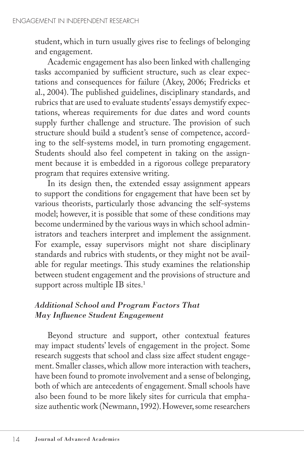student, which in turn usually gives rise to feelings of belonging and engagement.

Academic engagement has also been linked with challenging tasks accompanied by sufficient structure, such as clear expectations and consequences for failure (Akey, 2006; Fredricks et al., 2004). The published guidelines, disciplinary standards, and rubrics that are used to evaluate students' essays demystify expectations, whereas requirements for due dates and word counts supply further challenge and structure. The provision of such structure should build a student's sense of competence, according to the self-systems model, in turn promoting engagement. Students should also feel competent in taking on the assignment because it is embedded in a rigorous college preparatory program that requires extensive writing.

In its design then, the extended essay assignment appears to support the conditions for engagement that have been set by various theorists, particularly those advancing the self-systems model; however, it is possible that some of these conditions may become undermined by the various ways in which school administrators and teachers interpret and implement the assignment. For example, essay supervisors might not share disciplinary standards and rubrics with students, or they might not be available for regular meetings. This study examines the relationship between student engagement and the provisions of structure and support across multiple IB sites.<sup>1</sup>

### *Additional School and Program Factors That May Influence Student Engagement*

Beyond structure and support, other contextual features may impact students' levels of engagement in the project. Some research suggests that school and class size affect student engagement. Smaller classes, which allow more interaction with teachers, have been found to promote involvement and a sense of belonging, both of which are antecedents of engagement. Small schools have also been found to be more likely sites for curricula that emphasize authentic work (Newmann, 1992). However, some researchers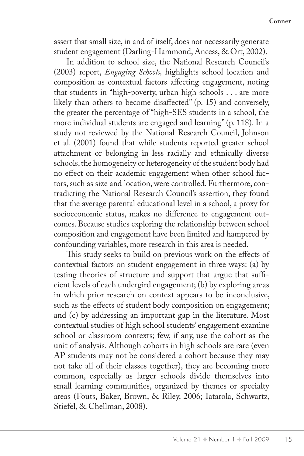assert that small size, in and of itself, does not necessarily generate student engagement (Darling-Hammond, Ancess, & Ort, 2002).

In addition to school size, the National Research Council's (2003) report, *Engaging Schools,* highlights school location and composition as contextual factors affecting engagement, noting that students in "high-poverty, urban high schools . . . are more likely than others to become disaffected" (p. 15) and conversely, the greater the percentage of "high-SES students in a school, the more individual students are engaged and learning" (p. 118). In a study not reviewed by the National Research Council, Johnson et al. (2001) found that while students reported greater school attachment or belonging in less racially and ethnically diverse schools, the homogeneity or heterogeneity of the student body had no effect on their academic engagement when other school factors, such as size and location, were controlled. Furthermore, contradicting the National Research Council's assertion, they found that the average parental educational level in a school, a proxy for socioeconomic status, makes no difference to engagement outcomes. Because studies exploring the relationship between school composition and engagement have been limited and hampered by confounding variables, more research in this area is needed.

This study seeks to build on previous work on the effects of contextual factors on student engagement in three ways: (a) by testing theories of structure and support that argue that sufficient levels of each undergird engagement; (b) by exploring areas in which prior research on context appears to be inconclusive, such as the effects of student body composition on engagement; and (c) by addressing an important gap in the literature. Most contextual studies of high school students' engagement examine school or classroom contexts; few, if any, use the cohort as the unit of analysis. Although cohorts in high schools are rare (even AP students may not be considered a cohort because they may not take all of their classes together), they are becoming more common, especially as larger schools divide themselves into small learning communities, organized by themes or specialty areas (Fouts, Baker, Brown, & Riley, 2006; Iatarola, Schwartz, Stiefel, & Chellman, 2008).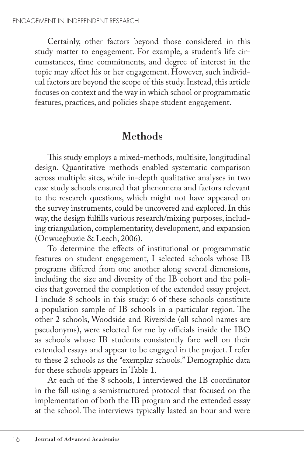Certainly, other factors beyond those considered in this study matter to engagement. For example, a student's life circumstances, time commitments, and degree of interest in the topic may affect his or her engagement. However, such individual factors are beyond the scope of this study. Instead, this article focuses on context and the way in which school or programmatic features, practices, and policies shape student engagement.

## Methods

This study employs a mixed-methods, multisite, longitudinal design. Quantitative methods enabled systematic comparison across multiple sites, while in-depth qualitative analyses in two case study schools ensured that phenomena and factors relevant to the research questions, which might not have appeared on the survey instruments, could be uncovered and explored. In this way, the design fulfills various research/mixing purposes, including triangulation, complementarity, development, and expansion (Onwuegbuzie & Leech, 2006).

To determine the effects of institutional or programmatic features on student engagement, I selected schools whose IB programs differed from one another along several dimensions, including the size and diversity of the IB cohort and the policies that governed the completion of the extended essay project. I include 8 schools in this study: 6 of these schools constitute a population sample of IB schools in a particular region. The other 2 schools, Woodside and Riverside (all school names are pseudonyms), were selected for me by officials inside the IBO as schools whose IB students consistently fare well on their extended essays and appear to be engaged in the project. I refer to these 2 schools as the "exemplar schools." Demographic data for these schools appears in Table 1.

At each of the 8 schools, I interviewed the IB coordinator in the fall using a semistructured protocol that focused on the implementation of both the IB program and the extended essay at the school. The interviews typically lasted an hour and were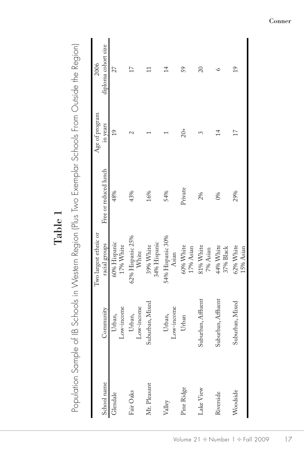| —      |
|--------|
| ⊐      |
| ᅩ      |
| ۳<br>Ē |
|        |

Population Sample of IB Schools in Western Region (Plus Two Exemplar Schools From Outside the Region) Population Sample of IB Schools in Western Region (Plus Two Exemplar Schools From outside the Region)

|              |                         | Two largest ethnic or     |                       | Age of program | 2006                |
|--------------|-------------------------|---------------------------|-----------------------|----------------|---------------------|
| School name  | Community               | racial groups             | Free or reduced lunch | in years       | diploma cohort size |
| Glendale     | Low-income<br>Urban,    | 60% Hispanic<br>17% White | 48%                   | 19             | 27                  |
| Fair Oaks    | Low-income<br>Urban,    | 62% Hispanic 25%<br>White | 43%                   |                | 17                  |
| Mt. Pleasant | Suburban, Mixed         | 34% Hispanic<br>39% White | 16%                   |                |                     |
| Valley       | $Low$ -income<br>Urban, | 54% Hispanic 30%<br>Asian | 54%                   |                | 14                  |
| Pine Ridge   | Urban                   | 60% White<br>17% Asian    | Private               | $20+$          | 59                  |
| Lake View    | Suburban, Affluent      | 81% White<br>7% Asian     | 2%                    |                | $\approx$           |
| Riverside    | Suburban, Affluent      | 44% White<br>37% Black    | 0%                    | 14             |                     |
| Woodside     | Suburban, Mixed         | 62% White<br>15% Asian    | 29%                   | 17             | $\overline{19}$     |

Conner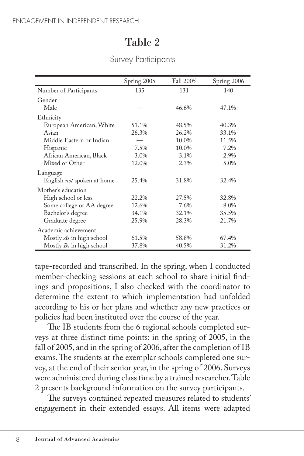## Table 2

|                                   | Spring 2005 | Fall 2005 | Spring 2006 |
|-----------------------------------|-------------|-----------|-------------|
| Number of Participants            | 135         | 131       | 140         |
| Gender                            |             |           |             |
| Male                              |             | 46.6%     | 47.1%       |
| Ethnicity                         |             |           |             |
| European American, White          | 51.1%       | 48.5%     | 40.3%       |
| Asian                             | 26.3%       | 26.2%     | 33.1%       |
| Middle Eastern or Indian          |             | 10.0%     | 11.5%       |
| Hispanic                          | 7.5%        | 10.0%     | 7.2%        |
| African American, Black           | 3.0%        | 3.1%      | 2.9%        |
| Mixed or Other                    | 12.0%       | 2.3%      | 5.0%        |
| Language                          |             |           |             |
| English <i>not</i> spoken at home | 25.4%       | 31.8%     | 32.4%       |
| Mother's education                |             |           |             |
| High school or less               | 22.2%       | 27.5%     | 32.8%       |
| Some college or AA degree         | 12.6%       | 7.6%      | 8.0%        |
| Bachelor's degree                 | 34.1%       | 32.1%     | 35.5%       |
| Graduate degree                   | 25.9%       | 28.3%     | 21.7%       |
| Academic achievement              |             |           |             |
| Mostly $As$ in high school        | 61.5%       | 58.8%     | 67.4%       |
| Mostly Bs in high school          | 37.8%       | 40.5%     | 31.2%       |

## Survey Participants

tape-recorded and transcribed. In the spring, when I conducted member-checking sessions at each school to share initial findings and propositions, I also checked with the coordinator to determine the extent to which implementation had unfolded according to his or her plans and whether any new practices or policies had been instituted over the course of the year.

The IB students from the 6 regional schools completed surveys at three distinct time points: in the spring of 2005, in the fall of 2005, and in the spring of 2006, after the completion of IB exams. The students at the exemplar schools completed one survey, at the end of their senior year, in the spring of 2006. Surveys were administered during class time by a trained researcher. Table 2 presents background information on the survey participants.

The surveys contained repeated measures related to students' engagement in their extended essays. All items were adapted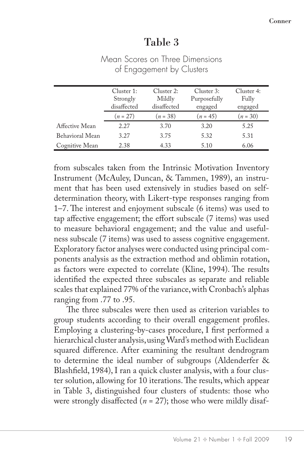## Table 3

|                 | Cluster 1:  | Cluster 2:  | Cluster 3:   | Cluster 4: |
|-----------------|-------------|-------------|--------------|------------|
|                 | Strongly    | Mildly      | Purposefully | Fully      |
|                 | disaffected | disaffected | engaged      | engaged    |
|                 | $(n = 27)$  | $(n = 38)$  | $(n = 45)$   | $(n = 30)$ |
| Affective Mean  | 2.27        | 3.70        | 3.20         | 5.25       |
| Behavioral Mean | 3.27        | 3.75        | 5.32         | 5.31       |
| Cognitive Mean  | 2.38        | 4.33        | 5.10         | 6.06       |

## Mean Scores on Three Dimensions of Engagement by Clusters

from subscales taken from the Intrinsic Motivation Inventory Instrument (McAuley, Duncan, & Tammen, 1989), an instrument that has been used extensively in studies based on selfdetermination theory, with Likert-type responses ranging from 1–7. The interest and enjoyment subscale (6 items) was used to tap affective engagement; the effort subscale (7 items) was used to measure behavioral engagement; and the value and usefulness subscale (7 items) was used to assess cognitive engagement. Exploratory factor analyses were conducted using principal components analysis as the extraction method and oblimin rotation, as factors were expected to correlate (Kline, 1994). The results identified the expected three subscales as separate and reliable scales that explained 77% of the variance, with Cronbach's alphas ranging from .77 to .95.

The three subscales were then used as criterion variables to group students according to their overall engagement profiles. Employing a clustering-by-cases procedure, I first performed a hierarchical cluster analysis, using Ward's method with Euclidean squared difference. After examining the resultant dendrogram to determine the ideal number of subgroups (Aldenderfer & Blashfield, 1984), I ran a quick cluster analysis, with a four cluster solution, allowing for 10 iterations. The results, which appear in Table 3, distinguished four clusters of students: those who were strongly disaffected (*n* = 27); those who were mildly disaf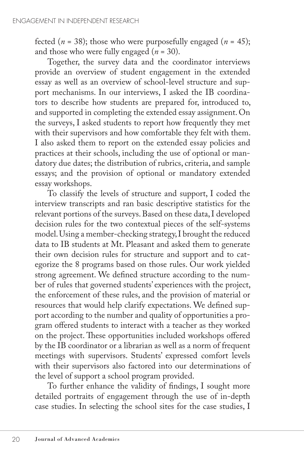fected ( $n = 38$ ); those who were purposefully engaged ( $n = 45$ ); and those who were fully engaged  $(n = 30)$ .

Together, the survey data and the coordinator interviews provide an overview of student engagement in the extended essay as well as an overview of school-level structure and support mechanisms. In our interviews, I asked the IB coordinators to describe how students are prepared for, introduced to, and supported in completing the extended essay assignment. On the surveys, I asked students to report how frequently they met with their supervisors and how comfortable they felt with them. I also asked them to report on the extended essay policies and practices at their schools, including the use of optional or mandatory due dates; the distribution of rubrics, criteria, and sample essays; and the provision of optional or mandatory extended essay workshops.

 To classify the levels of structure and support, I coded the interview transcripts and ran basic descriptive statistics for the relevant portions of the surveys. Based on these data, I developed decision rules for the two contextual pieces of the self-systems model. Using a member-checking strategy, I brought the reduced data to IB students at Mt. Pleasant and asked them to generate their own decision rules for structure and support and to categorize the 8 programs based on those rules. Our work yielded strong agreement. We defined structure according to the number of rules that governed students' experiences with the project, the enforcement of these rules, and the provision of material or resources that would help clarify expectations. We defined support according to the number and quality of opportunities a program offered students to interact with a teacher as they worked on the project. These opportunities included workshops offered by the IB coordinator or a librarian as well as a norm of frequent meetings with supervisors. Students' expressed comfort levels with their supervisors also factored into our determinations of the level of support a school program provided.

To further enhance the validity of findings, I sought more detailed portraits of engagement through the use of in-depth case studies. In selecting the school sites for the case studies, I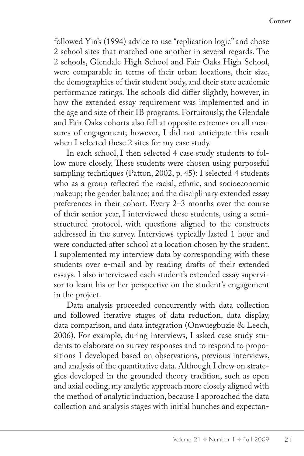followed Yin's (1994) advice to use "replication logic" and chose 2 school sites that matched one another in several regards. The 2 schools, Glendale High School and Fair Oaks High School, were comparable in terms of their urban locations, their size, the demographics of their student body, and their state academic performance ratings. The schools did differ slightly, however, in how the extended essay requirement was implemented and in the age and size of their IB programs. Fortuitously, the Glendale and Fair Oaks cohorts also fell at opposite extremes on all measures of engagement; however, I did not anticipate this result when I selected these 2 sites for my case study.

In each school, I then selected 4 case study students to follow more closely. These students were chosen using purposeful sampling techniques (Patton, 2002, p. 45): I selected 4 students who as a group reflected the racial, ethnic, and socioeconomic makeup; the gender balance; and the disciplinary extended essay preferences in their cohort. Every 2–3 months over the course of their senior year, I interviewed these students, using a semistructured protocol, with questions aligned to the constructs addressed in the survey. Interviews typically lasted 1 hour and were conducted after school at a location chosen by the student. I supplemented my interview data by corresponding with these students over e-mail and by reading drafts of their extended essays. I also interviewed each student's extended essay supervisor to learn his or her perspective on the student's engagement in the project.

Data analysis proceeded concurrently with data collection and followed iterative stages of data reduction, data display, data comparison, and data integration (Onwuegbuzie & Leech, 2006). For example, during interviews, I asked case study students to elaborate on survey responses and to respond to propositions I developed based on observations, previous interviews, and analysis of the quantitative data. Although I drew on strategies developed in the grounded theory tradition, such as open and axial coding, my analytic approach more closely aligned with the method of analytic induction, because I approached the data collection and analysis stages with initial hunches and expectan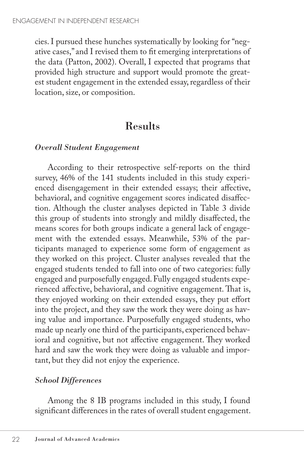cies. I pursued these hunches systematically by looking for "negative cases," and I revised them to fit emerging interpretations of the data (Patton, 2002). Overall, I expected that programs that provided high structure and support would promote the greatest student engagement in the extended essay, regardless of their location, size, or composition.

## Results

#### *Overall Student Engagement*

According to their retrospective self-reports on the third survey, 46% of the 141 students included in this study experienced disengagement in their extended essays; their affective, behavioral, and cognitive engagement scores indicated disaffection. Although the cluster analyses depicted in Table 3 divide this group of students into strongly and mildly disaffected, the means scores for both groups indicate a general lack of engagement with the extended essays. Meanwhile, 53% of the participants managed to experience some form of engagement as they worked on this project. Cluster analyses revealed that the engaged students tended to fall into one of two categories: fully engaged and purposefully engaged. Fully engaged students experienced affective, behavioral, and cognitive engagement. That is, they enjoyed working on their extended essays, they put effort into the project, and they saw the work they were doing as having value and importance. Purposefully engaged students, who made up nearly one third of the participants, experienced behavioral and cognitive, but not affective engagement. They worked hard and saw the work they were doing as valuable and important, but they did not enjoy the experience.

#### *School Differences*

 Among the 8 IB programs included in this study, I found significant differences in the rates of overall student engagement.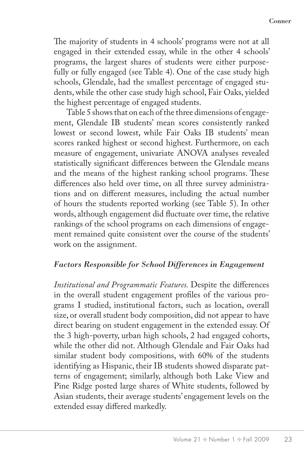The majority of students in 4 schools' programs were not at all engaged in their extended essay, while in the other 4 schools' programs, the largest shares of students were either purposefully or fully engaged (see Table 4). One of the case study high schools, Glendale, had the smallest percentage of engaged students, while the other case study high school, Fair Oaks, yielded the highest percentage of engaged students.

Table 5 shows that on each of the three dimensions of engagement, Glendale IB students' mean scores consistently ranked lowest or second lowest, while Fair Oaks IB students' mean scores ranked highest or second highest. Furthermore, on each measure of engagement, univariate ANOVA analyses revealed statistically significant differences between the Glendale means and the means of the highest ranking school programs. These differences also held over time, on all three survey administrations and on different measures, including the actual number of hours the students reported working (see Table 5). In other words, although engagement did fluctuate over time, the relative rankings of the school programs on each dimensions of engagement remained quite consistent over the course of the students' work on the assignment.

#### *Factors Responsible for School Differences in Engagement*

*Institutional and Programmatic Features.* Despite the differences in the overall student engagement profiles of the various programs I studied, institutional factors, such as location, overall size, or overall student body composition, did not appear to have direct bearing on student engagement in the extended essay. Of the 3 high-poverty, urban high schools, 2 had engaged cohorts, while the other did not. Although Glendale and Fair Oaks had similar student body compositions, with 60% of the students identifying as Hispanic, their IB students showed disparate patterns of engagement; similarly, although both Lake View and Pine Ridge posted large shares of White students, followed by Asian students, their average students' engagement levels on the extended essay differed markedly.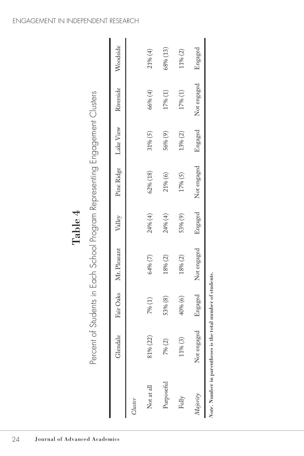Table 4

|            |                                                              |         |                                                                             | Table 4 |             |           |             |          |
|------------|--------------------------------------------------------------|---------|-----------------------------------------------------------------------------|---------|-------------|-----------|-------------|----------|
|            |                                                              |         | Percent of Students in Each School Program Representing Engagement Clusters |         |             |           |             |          |
|            | Glendale                                                     |         | Fair Oaks Mt. Pleasant                                                      | Valley  | Pine Ridge  | Lake View | Riverside   | Woodside |
| Cluster    |                                                              |         |                                                                             |         |             |           |             |          |
| Not at all | 81% (22)                                                     | 7% (1)  | 64% (7)                                                                     | 24% (4) | 62% (18)    | 31% (5)   | 66% (4)     | 21% (4)  |
| Purposeful | 7% (2)                                                       | 53% (8) | 18% (2)                                                                     | 24% (4) | 21% (6)     | 56% (9)   | 17% (1)     | 68% (13) |
| Fully      | $1\% (3)$                                                    | 40% (6) | 18% (2)                                                                     | 53% (9) | 17% (5)     | 13% (2)   | 17% (1)     | 11% (2)  |
| Majority   | engaged<br>Not                                               | Engaged | Not engaged                                                                 | Engaged | Not engaged | Engaged   | Not engaged | Engaged  |
|            | Note. Number in parentheses is the total number of students. |         |                                                                             |         |             |           |             |          |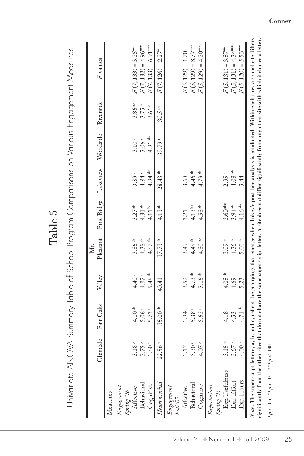|                                              |                      |                      |                      |                       | Table 5               |                       |                      |                    |                                                                                                                                                                                                                                                                                                                                                |
|----------------------------------------------|----------------------|----------------------|----------------------|-----------------------|-----------------------|-----------------------|----------------------|--------------------|------------------------------------------------------------------------------------------------------------------------------------------------------------------------------------------------------------------------------------------------------------------------------------------------------------------------------------------------|
|                                              |                      |                      |                      |                       |                       |                       |                      |                    | Jnivariate ANOVA Summary Table of School Program Comparisons on Various Engagement Measures                                                                                                                                                                                                                                                    |
|                                              | Glendale             | Fair Oaks            | Valley               | Pleasant<br>Йť.       | Pine Ridge            | Lakeview              | Woodside             | Riverside          | F-values                                                                                                                                                                                                                                                                                                                                       |
| Measures                                     |                      |                      |                      |                       |                       |                       |                      |                    |                                                                                                                                                                                                                                                                                                                                                |
| Engagement<br>Spring 706                     |                      |                      |                      |                       |                       |                       |                      |                    |                                                                                                                                                                                                                                                                                                                                                |
| Affective                                    | 3.18 <sup>b</sup>    | 4.10 <sup>ab</sup>   | 4.40 <sup>a</sup>    | 3.86ab                | 3.27ab                | 3.89 <sup>b</sup>     | 3.10 <sup>b</sup>    | $3.86\,^{\rm ab}$  | $F(7, 133) = 3.25***$                                                                                                                                                                                                                                                                                                                          |
| Behavioral                                   | $3.75^b$<br>$3.60^c$ | $5.06$ $\mathrm{^a}$ | $4.87^{\rm a}$       | 4.38ab                | 4.31 <sup>ab</sup>    | $4.84^{a}$            | $5.06$ $\mathrm{^a}$ | 3.75 <sup>b</sup>  | $F(7, 132) = 4.96***$                                                                                                                                                                                                                                                                                                                          |
| Cognitive                                    |                      | $5.73^{\mathrm{a}}$  | $5.48$ <sup>ab</sup> | $4.67$ <sup>abc</sup> | $4.11^{bc}$           | 4.94 abc              | $4.91\, \rm{^{4}$    | 3.61 <sup>c</sup>  | $F(7, 133) = 6.91***$                                                                                                                                                                                                                                                                                                                          |
| Hours worked                                 | 22.56 <sup>b</sup>   | 35.00 <sup>ab</sup>  | 40.41ª               | $37.73$ <sup>ab</sup> | 4.13 <sup>ab</sup>    | $28.43$ <sup>ab</sup> | 39.79 <sup>a</sup>   | 30.5 <sup>ab</sup> | $F(7, 126) = 2.27$ <sup>*</sup>                                                                                                                                                                                                                                                                                                                |
| Engagement<br>Fall '05                       |                      |                      |                      |                       |                       |                       |                      |                    |                                                                                                                                                                                                                                                                                                                                                |
|                                              | 3.17                 | 3.94                 | 3.52                 | 3.49                  | 3.21                  | 3.68                  |                      |                    |                                                                                                                                                                                                                                                                                                                                                |
| Affective<br>Behavioral                      | $3.30\,^{\circ}$     | 5.38 <sup>a</sup>    | $4.73$ <sup>ab</sup> | 4.49 <sup>ab</sup>    | $4.13$ <sub>bc</sub>  | $4.46^{\rm \, ab}$    |                      |                    | $F(5, 129) = 1.70$<br>$F(5, 129) = 8.77***$                                                                                                                                                                                                                                                                                                    |
| Cognitive                                    | 07 <sup>b</sup>      | $5.62$ <sup>a</sup>  | 5.16 <sup>ab</sup>   | $4.80$ ab             | 4.58ab                | 4.79 <sup>ab</sup>    |                      |                    | $4.20***$<br>$F(5, 129) =$                                                                                                                                                                                                                                                                                                                     |
| Spring '05<br>Exp.Usefulness<br>Expectations |                      |                      |                      |                       |                       |                       |                      |                    |                                                                                                                                                                                                                                                                                                                                                |
|                                              | $3.15$ bc            | 4.18 <sup>a</sup>    | 4.08 <sup>ab</sup>   | $3.09^{\rm bc}$       | $3.60\, \rm{^{abc}}$  | 2.95 <sup>c</sup>     |                      |                    | $F(5, 131) = 3.87***$                                                                                                                                                                                                                                                                                                                          |
| Exp. Effort                                  | 3.67 <sup>b</sup>    | $4.53^{\mathrm{a}}$  | $4.69^{a}$           | 4.36ab                | 3.94 <sup>ab</sup>    | $4.08$ $^{\rm ab}$    |                      |                    | $F(5, 131) = 4.34***$                                                                                                                                                                                                                                                                                                                          |
| Exp. Hours                                   | .00 <sup>bc</sup>    | $4.71$ <sup>ab</sup> | 5.23 <sup>a</sup>    | $5.00$ <sup>ab</sup>  | $4.16$ <sup>abc</sup> | 3.44 <sup>c</sup>     |                      |                    | $F(5, 120) = 5.53***$                                                                                                                                                                                                                                                                                                                          |
|                                              |                      |                      |                      |                       |                       |                       |                      |                    | Note. The superscript letters, a, b, and c, reflect the groupings that emerge when Tukey's post-hoc analysis is conducted. Within each row, a school site differs<br>significantly from the other sites that do not share the same superscript letter. A site does not differ significantly from any other site with which it shares a letter. |
| * $p < .05$ . ** $p < .01$ . *** $p < .001$  |                      |                      |                      |                       |                       |                       |                      |                    |                                                                                                                                                                                                                                                                                                                                                |

Conner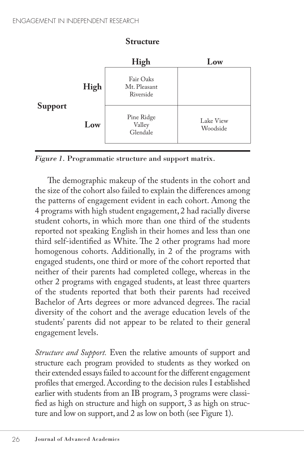

#### **Structure**

*Figure 1.* Programmatic structure and support matrix.

The demographic makeup of the students in the cohort and the size of the cohort also failed to explain the differences among the patterns of engagement evident in each cohort. Among the 4 programs with high student engagement, 2 had racially diverse student cohorts, in which more than one third of the students reported not speaking English in their homes and less than one third self-identified as White. The 2 other programs had more homogenous cohorts. Additionally, in 2 of the programs with engaged students, one third or more of the cohort reported that neither of their parents had completed college, whereas in the other 2 programs with engaged students, at least three quarters of the students reported that both their parents had received Bachelor of Arts degrees or more advanced degrees. The racial diversity of the cohort and the average education levels of the students' parents did not appear to be related to their general engagement levels.

*Structure and Support.* Even the relative amounts of support and structure each program provided to students as they worked on their extended essays failed to account for the different engagement profiles that emerged. According to the decision rules I established earlier with students from an IB program, 3 programs were classified as high on structure and high on support, 3 as high on structure and low on support, and 2 as low on both (see Figure 1).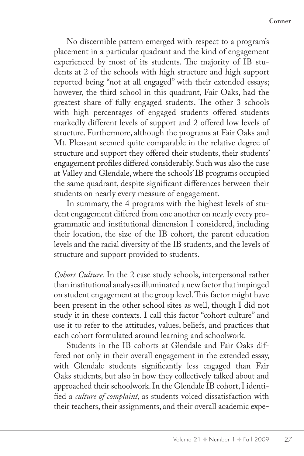No discernible pattern emerged with respect to a program's placement in a particular quadrant and the kind of engagement experienced by most of its students. The majority of IB students at 2 of the schools with high structure and high support reported being "not at all engaged" with their extended essays; however, the third school in this quadrant, Fair Oaks, had the greatest share of fully engaged students. The other 3 schools with high percentages of engaged students offered students markedly different levels of support and 2 offered low levels of structure. Furthermore, although the programs at Fair Oaks and Mt. Pleasant seemed quite comparable in the relative degree of structure and support they offered their students, their students' engagement profiles differed considerably. Such was also the case at Valley and Glendale, where the schools' IB programs occupied the same quadrant, despite significant differences between their students on nearly every measure of engagement.

 In summary, the 4 programs with the highest levels of student engagement differed from one another on nearly every programmatic and institutional dimension I considered, including their location, the size of the IB cohort, the parent education levels and the racial diversity of the IB students, and the levels of structure and support provided to students.

*Cohort Culture.* In the 2 case study schools, interpersonal rather than institutional analyses illuminated a new factor that impinged on student engagement at the group level. This factor might have been present in the other school sites as well, though I did not study it in these contexts. I call this factor "cohort culture" and use it to refer to the attitudes, values, beliefs, and practices that each cohort formulated around learning and schoolwork.

Students in the IB cohorts at Glendale and Fair Oaks differed not only in their overall engagement in the extended essay, with Glendale students significantly less engaged than Fair Oaks students, but also in how they collectively talked about and approached their schoolwork. In the Glendale IB cohort, I identified a *culture of complaint*, as students voiced dissatisfaction with their teachers, their assignments, and their overall academic expe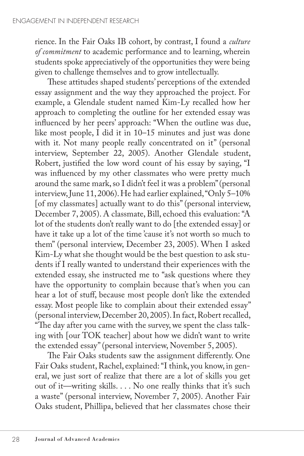rience. In the Fair Oaks IB cohort, by contrast, I found a *culture of commitment* to academic performance and to learning, wherein students spoke appreciatively of the opportunities they were being given to challenge themselves and to grow intellectually.

 These attitudes shaped students' perceptions of the extended essay assignment and the way they approached the project. For example, a Glendale student named Kim-Ly recalled how her approach to completing the outline for her extended essay was influenced by her peers' approach: "When the outline was due, like most people, I did it in 10–15 minutes and just was done with it. Not many people really concentrated on it" (personal interview, September 22, 2005). Another Glendale student, Robert, justified the low word count of his essay by saying, "I was influenced by my other classmates who were pretty much around the same mark, so I didn't feel it was a problem" (personal interview, June 11, 2006). He had earlier explained, "Only 5–10% [of my classmates] actually want to do this" (personal interview, December 7, 2005). A classmate, Bill, echoed this evaluation: "A lot of the students don't really want to do [the extended essay] or have it take up a lot of the time 'cause it's not worth so much to them" (personal interview, December 23, 2005). When I asked Kim-Ly what she thought would be the best question to ask students if I really wanted to understand their experiences with the extended essay, she instructed me to "ask questions where they have the opportunity to complain because that's when you can hear a lot of stuff, because most people don't like the extended essay. Most people like to complain about their extended essay" (personal interview, December 20, 2005). In fact, Robert recalled, "The day after you came with the survey, we spent the class talking with [our TOK teacher] about how we didn't want to write the extended essay" (personal interview, November 5, 2005).

 The Fair Oaks students saw the assignment differently. One Fair Oaks student, Rachel, explained: "I think, you know, in general, we just sort of realize that there are a lot of skills you get out of it—writing skills. . . . No one really thinks that it's such a waste" (personal interview, November 7, 2005). Another Fair Oaks student, Phillipa, believed that her classmates chose their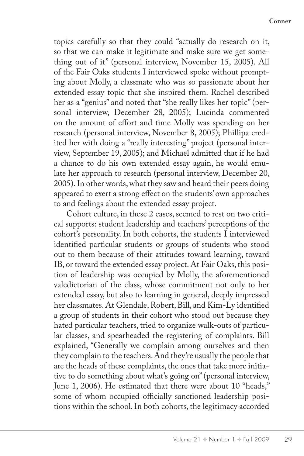topics carefully so that they could "actually do research on it, so that we can make it legitimate and make sure we get something out of it" (personal interview, November 15, 2005). All of the Fair Oaks students I interviewed spoke without prompting about Molly, a classmate who was so passionate about her extended essay topic that she inspired them. Rachel described her as a "genius" and noted that "she really likes her topic" (personal interview, December 28, 2005); Lucinda commented on the amount of effort and time Molly was spending on her research (personal interview, November 8, 2005); Phillipa credited her with doing a "really interesting" project (personal interview, September 19, 2005); and Michael admitted that if he had a chance to do his own extended essay again, he would emulate her approach to research (personal interview, December 20, 2005). In other words, what they saw and heard their peers doing appeared to exert a strong effect on the students' own approaches to and feelings about the extended essay project.

Cohort culture, in these 2 cases, seemed to rest on two critical supports: student leadership and teachers' perceptions of the cohort's personality. In both cohorts, the students I interviewed identified particular students or groups of students who stood out to them because of their attitudes toward learning, toward IB, or toward the extended essay project. At Fair Oaks, this position of leadership was occupied by Molly, the aforementioned valedictorian of the class, whose commitment not only to her extended essay, but also to learning in general, deeply impressed her classmates. At Glendale, Robert, Bill, and Kim-Ly identified a group of students in their cohort who stood out because they hated particular teachers, tried to organize walk-outs of particular classes, and spearheaded the registering of complaints. Bill explained, "Generally we complain among ourselves and then they complain to the teachers. And they're usually the people that are the heads of these complaints, the ones that take more initiative to do something about what's going on" (personal interview, June 1, 2006). He estimated that there were about 10 "heads," some of whom occupied officially sanctioned leadership positions within the school. In both cohorts, the legitimacy accorded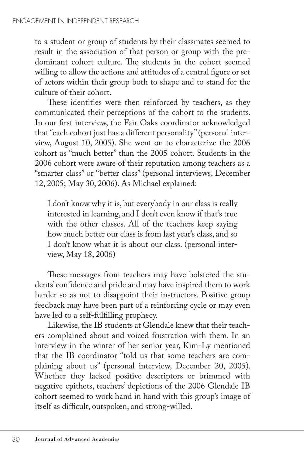to a student or group of students by their classmates seemed to result in the association of that person or group with the predominant cohort culture. The students in the cohort seemed willing to allow the actions and attitudes of a central figure or set of actors within their group both to shape and to stand for the culture of their cohort.

 These identities were then reinforced by teachers, as they communicated their perceptions of the cohort to the students. In our first interview, the Fair Oaks coordinator acknowledged that "each cohort just has a different personality" (personal interview, August 10, 2005). She went on to characterize the 2006 cohort as "much better" than the 2005 cohort. Students in the 2006 cohort were aware of their reputation among teachers as a "smarter class" or "better class" (personal interviews, December 12, 2005; May 30, 2006). As Michael explained:

I don't know why it is, but everybody in our class is really interested in learning, and I don't even know if that's true with the other classes. All of the teachers keep saying how much better our class is from last year's class, and so I don't know what it is about our class. (personal interview, May 18, 2006)

These messages from teachers may have bolstered the students' confidence and pride and may have inspired them to work harder so as not to disappoint their instructors. Positive group feedback may have been part of a reinforcing cycle or may even have led to a self-fulfilling prophecy.

 Likewise, the IB students at Glendale knew that their teachers complained about and voiced frustration with them. In an interview in the winter of her senior year, Kim-Ly mentioned that the IB coordinator "told us that some teachers are complaining about us" (personal interview, December 20, 2005). Whether they lacked positive descriptors or brimmed with negative epithets, teachers' depictions of the 2006 Glendale IB cohort seemed to work hand in hand with this group's image of itself as difficult, outspoken, and strong-willed.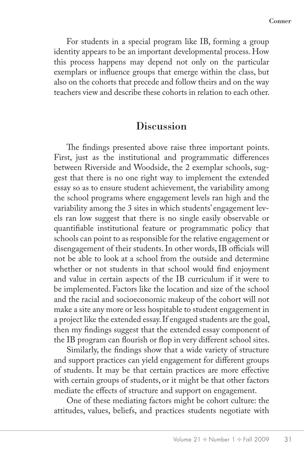Conner

For students in a special program like IB, forming a group identity appears to be an important developmental process. How this process happens may depend not only on the particular exemplars or influence groups that emerge within the class, but also on the cohorts that precede and follow theirs and on the way teachers view and describe these cohorts in relation to each other.

## **Discussion**

The findings presented above raise three important points. First, just as the institutional and programmatic differences between Riverside and Woodside, the 2 exemplar schools, suggest that there is no one right way to implement the extended essay so as to ensure student achievement, the variability among the school programs where engagement levels ran high and the variability among the 3 sites in which students' engagement levels ran low suggest that there is no single easily observable or quantifiable institutional feature or programmatic policy that schools can point to as responsible for the relative engagement or disengagement of their students. In other words, IB officials will not be able to look at a school from the outside and determine whether or not students in that school would find enjoyment and value in certain aspects of the IB curriculum if it were to be implemented. Factors like the location and size of the school and the racial and socioeconomic makeup of the cohort will not make a site any more or less hospitable to student engagement in a project like the extended essay. If engaged students are the goal, then my findings suggest that the extended essay component of the IB program can flourish or flop in very different school sites.

Similarly, the findings show that a wide variety of structure and support practices can yield engagement for different groups of students. It may be that certain practices are more effective with certain groups of students, or it might be that other factors mediate the effects of structure and support on engagement.

 One of these mediating factors might be cohort culture: the attitudes, values, beliefs, and practices students negotiate with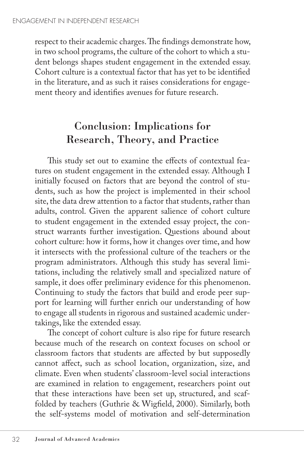respect to their academic charges. The findings demonstrate how, in two school programs, the culture of the cohort to which a student belongs shapes student engagement in the extended essay. Cohort culture is a contextual factor that has yet to be identified in the literature, and as such it raises considerations for engagement theory and identifies avenues for future research.

# Conclusion: Implications for Research, Theory, and Practice

 This study set out to examine the effects of contextual features on student engagement in the extended essay. Although I initially focused on factors that are beyond the control of students, such as how the project is implemented in their school site, the data drew attention to a factor that students, rather than adults, control. Given the apparent salience of cohort culture to student engagement in the extended essay project, the construct warrants further investigation. Questions abound about cohort culture: how it forms, how it changes over time, and how it intersects with the professional culture of the teachers or the program administrators. Although this study has several limitations, including the relatively small and specialized nature of sample, it does offer preliminary evidence for this phenomenon. Continuing to study the factors that build and erode peer support for learning will further enrich our understanding of how to engage all students in rigorous and sustained academic undertakings, like the extended essay.

 The concept of cohort culture is also ripe for future research because much of the research on context focuses on school or classroom factors that students are affected by but supposedly cannot affect, such as school location, organization, size, and climate. Even when students' classroom-level social interactions are examined in relation to engagement, researchers point out that these interactions have been set up, structured, and scaffolded by teachers (Guthrie & Wigfield, 2000). Similarly, both the self-systems model of motivation and self-determination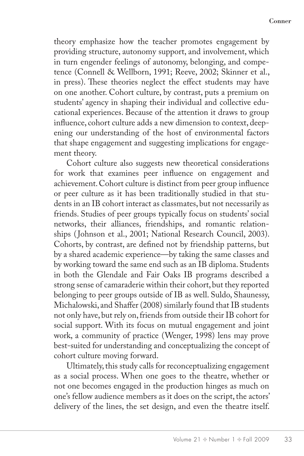theory emphasize how the teacher promotes engagement by providing structure, autonomy support, and involvement, which in turn engender feelings of autonomy, belonging, and competence (Connell & Wellborn, 1991; Reeve, 2002; Skinner et al., in press). These theories neglect the effect students may have on one another. Cohort culture, by contrast, puts a premium on students' agency in shaping their individual and collective educational experiences. Because of the attention it draws to group influence, cohort culture adds a new dimension to context, deepening our understanding of the host of environmental factors that shape engagement and suggesting implications for engagement theory.

Cohort culture also suggests new theoretical considerations for work that examines peer influence on engagement and achievement. Cohort culture is distinct from peer group influence or peer culture as it has been traditionally studied in that students in an IB cohort interact as classmates, but not necessarily as friends. Studies of peer groups typically focus on students' social networks, their alliances, friendships, and romantic relationships ( Johnson et al., 2001; National Research Council, 2003). Cohorts, by contrast, are defined not by friendship patterns, but by a shared academic experience—by taking the same classes and by working toward the same end such as an IB diploma. Students in both the Glendale and Fair Oaks IB programs described a strong sense of camaraderie within their cohort, but they reported belonging to peer groups outside of IB as well. Suldo, Shaunessy, Michalowski, and Shaffer (2008) similarly found that IB students not only have, but rely on, friends from outside their IB cohort for social support. With its focus on mutual engagement and joint work, a community of practice (Wenger, 1998) lens may prove best-suited for understanding and conceptualizing the concept of cohort culture moving forward.

 Ultimately, this study calls for reconceptualizing engagement as a social process. When one goes to the theatre, whether or not one becomes engaged in the production hinges as much on one's fellow audience members as it does on the script, the actors' delivery of the lines, the set design, and even the theatre itself.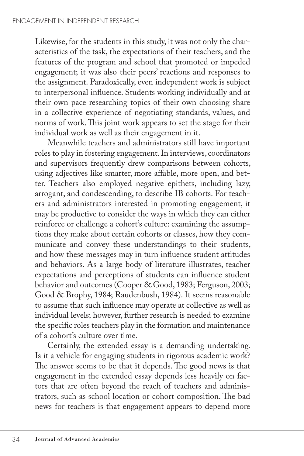Likewise, for the students in this study, it was not only the characteristics of the task, the expectations of their teachers, and the features of the program and school that promoted or impeded engagement; it was also their peers' reactions and responses to the assignment. Paradoxically, even independent work is subject to interpersonal influence. Students working individually and at their own pace researching topics of their own choosing share in a collective experience of negotiating standards, values, and norms of work. This joint work appears to set the stage for their individual work as well as their engagement in it.

 Meanwhile teachers and administrators still have important roles to play in fostering engagement. In interviews, coordinators and supervisors frequently drew comparisons between cohorts, using adjectives like smarter, more affable, more open, and better. Teachers also employed negative epithets, including lazy, arrogant, and condescending, to describe IB cohorts. For teachers and administrators interested in promoting engagement, it may be productive to consider the ways in which they can either reinforce or challenge a cohort's culture: examining the assumptions they make about certain cohorts or classes, how they communicate and convey these understandings to their students, and how these messages may in turn influence student attitudes and behaviors. As a large body of literature illustrates, teacher expectations and perceptions of students can influence student behavior and outcomes (Cooper & Good, 1983; Ferguson, 2003; Good & Brophy, 1984; Raudenbush, 1984). It seems reasonable to assume that such influence may operate at collective as well as individual levels; however, further research is needed to examine the specific roles teachers play in the formation and maintenance of a cohort's culture over time.

 Certainly, the extended essay is a demanding undertaking. Is it a vehicle for engaging students in rigorous academic work? The answer seems to be that it depends. The good news is that engagement in the extended essay depends less heavily on factors that are often beyond the reach of teachers and administrators, such as school location or cohort composition. The bad news for teachers is that engagement appears to depend more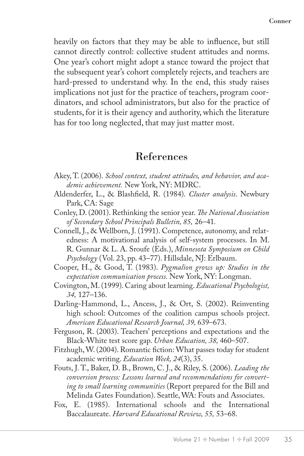heavily on factors that they may be able to influence, but still cannot directly control: collective student attitudes and norms. One year's cohort might adopt a stance toward the project that the subsequent year's cohort completely rejects, and teachers are hard-pressed to understand why. In the end, this study raises implications not just for the practice of teachers, program coordinators, and school administrators, but also for the practice of students, for it is their agency and authority, which the literature has for too long neglected, that may just matter most.

## References

- Akey, T. (2006). *School context, student attitudes, and behavior, and academic achievement.* New York, NY: MDRC.
- Aldenderfer, L., & Blashfield, R. (1984). *Cluster analysis*. Newbury Park, CA: Sage
- Conley, D. (2001). Rethinking the senior year. *The National Association of Secondary School Principals Bulletin, 85,* 26–41*.*
- Connell, J., & Wellborn, J. (1991). Competence, autonomy, and relatedness: A motivational analysis of self-system processes. In M. R. Gunnar & L. A. Sroufe (Eds.), *Minnesota Symposium on Child Psychology* (Vol. 23, pp. 43–77). Hillsdale, NJ: Erlbaum.
- Cooper, H., & Good, T. (1983). *Pygmalion grows up: Studies in the expectation communication process.* New York, NY: Longman.
- Covington, M. (1999). Caring about learning. *Educational Psychologist, 34,* 127–136.
- Darling-Hammond, L., Ancess, J., & Ort, S. (2002). Reinventing high school: Outcomes of the coalition campus schools project. *American Educational Research Journal, 39,* 639–673.
- Ferguson, R. (2003). Teachers' perceptions and expectations and the Black-White test score gap. *Urban Education, 38,* 460–507.
- Fitzhugh, W. (2004). Romantic fiction: What passes today for student academic writing. *Education Week, 24*(3), 35.
- Fouts, J. T., Baker, D. B., Brown, C. J., & Riley, S. (2006). *Leading the conversion process: Lessons learned and recommendations for converting to small learning communities* (Report prepared for the Bill and Melinda Gates Foundation). Seattle, WA: Fouts and Associates.
- Fox, E. (1985). International schools and the International Baccalaureate. *Harvard Educational Review, 55,* 53–68.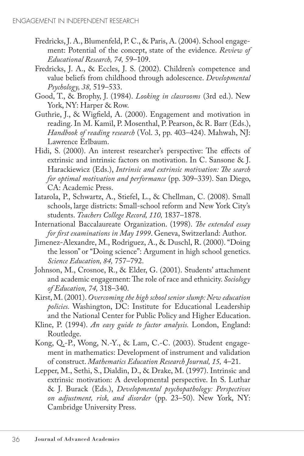- Fredricks, J. A., Blumenfeld, P. C., & Paris, A. (2004). School engagement: Potential of the concept, state of the evidence. *Review of Educational Research, 74,* 59–109.
- Fredricks, J. A., & Eccles, J. S. (2002). Children's competence and value beliefs from childhood through adolescence. *Developmental Psychology, 38,* 519–533.
- Good, T., & Brophy, J. (1984). *Looking in classrooms* (3rd ed.). New York, NY: Harper & Row.
- Guthrie, J., & Wigfield, A. (2000). Engagement and motivation in reading. In M. Kamil, P. Mosenthal, P. Pearson, & R. Barr (Eds.), *Handbook of reading research* (Vol. 3, pp. 403–424). Mahwah, NJ: Lawrence Erlbaum.
- Hidi, S. (2000). An interest researcher's perspective: The effects of extrinsic and intrinsic factors on motivation. In C. Sansone & J. Harackiewicz (Eds.), *Intrinsic and extrinsic motivation: The search for optimal motivation and performance* (pp. 309–339). San Diego, CA: Academic Press.
- Iatarola, P., Schwartz, A., Stiefel, L., & Chellman, C. (2008). Small schools, large districts: Small-school reform and New York City's students. *Teachers College Record, 110,* 1837–1878.
- International Baccalaureate Organization. (1998). *The extended essay for first examinations in May 1999*. Geneva, Switzerland: Author.
- Jimenez-Alexandre, M., Rodriguez, A., & Duschl, R. (2000). "Doing the lesson" or "Doing science": Argument in high school genetics. *Science Education, 84,* 757–792.
- Johnson, M., Crosnoe, R., & Elder, G. (2001). Students' attachment and academic engagement: The role of race and ethnicity. *Sociology of Education, 74,* 318–340.
- Kirst, M. (2001). *Overcoming the high school senior slump: New education policies.* Washington, DC: Institute for Educational Leadership and the National Center for Public Policy and Higher Education.
- Kline, P. (1994). *An easy guide to factor analysis.* London, England: Routledge.
- Kong, Q.-P., Wong, N.-Y., & Lam, C.-C. (2003). Student engagement in mathematics: Development of instrument and validation of construct. *Mathematics Education Research Journal, 15,* 4–21.
- Lepper, M., Sethi, S., Dialdin, D., & Drake, M. (1997). Intrinsic and extrinsic motivation: A developmental perspective. In S. Luthar & J. Burack (Eds.), *Developmental psychopathology: Perspectives on adjustment, risk, and disorder* (pp. 23–50). New York, NY: Cambridge University Press.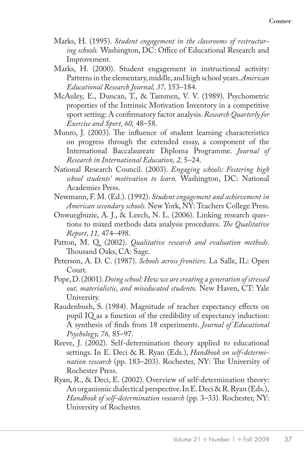- Marks, H. (1995). *Student engagement in the classrooms of restructuring schools.* Washington, DC: Office of Educational Research and Improvement.
- Marks, H. (2000). Student engagement in instructional activity: Patterns in the elementary, middle, and high school years. *American Educational Research Journal, 37,* 153–184.
- McAuley, E., Duncan, T., & Tammen, V. V. (1989). Psychometric properties of the Intrinsic Motivation Inventory in a competitive sport setting: A confirmatory factor analysis. *Research Quarterly for Exercise and Sport, 60,* 48–58.
- Munro, J. (2003). The influence of student learning characteristics on progress through the extended essay, a component of the International Baccalaureate Diploma Programme. *Journal of Research in International Education, 2,* 5–24.
- National Research Council. (2003). *Engaging schools: Fostering high school students' motivation to learn.* Washington, DC: National Academies Press.
- Newmann, F. M. (Ed.). (1992). *Student engagement and achievement in American secondary schools.* New York, NY: Teachers College Press.
- Onwuegbuzie, A. J., & Leech, N. L. (2006). Linking research questions to mixed methods data analysis procedures. *The Qualitative Report, 11,* 474–498.
- Patton, M. Q. (2002). *Qualitative research and evaluation methods.*  Thousand Oaks, CA: Sage.
- Peterson, A. D. C. (1987). *Schools across frontiers.* La Salle, IL: Open Court.
- Pope, D. (2001). *Doing school: How we are creating a generation of stressed out, materialistic, and miseducated student*s*.* New Haven, CT: Yale University.
- Raudenbush, S. (1984). Magnitude of teacher expectancy effects on pupil IQ as a function of the credibility of expectancy induction: A synthesis of finds from 18 experiments. *Journal of Educational Psychology, 76,* 85–97.
- Reeve, J. (2002). Self-determination theory applied to educational settings. In E. Deci & R. Ryan (Eds.), *Handbook on self-determination research* (pp. 183–203). Rochester, NY: The University of Rochester Press.
- Ryan, R., & Deci, E. (2002). Overview of self-determination theory: An organismic dialectical perspective. In E. Deci & R. Ryan (Eds.), *Handbook of self-determination research* (pp. 3–33). Rochester, NY: University of Rochester.